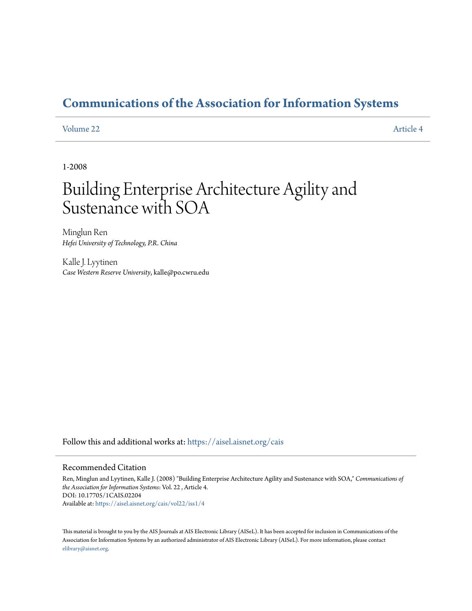## **[Communications of the Association for Information Systems](https://aisel.aisnet.org/cais?utm_source=aisel.aisnet.org%2Fcais%2Fvol22%2Fiss1%2F4&utm_medium=PDF&utm_campaign=PDFCoverPages)**

#### [Volume 22](https://aisel.aisnet.org/cais/vol22?utm_source=aisel.aisnet.org%2Fcais%2Fvol22%2Fiss1%2F4&utm_medium=PDF&utm_campaign=PDFCoverPages) [Article 4](https://aisel.aisnet.org/cais/vol22/iss1/4?utm_source=aisel.aisnet.org%2Fcais%2Fvol22%2Fiss1%2F4&utm_medium=PDF&utm_campaign=PDFCoverPages)

1-2008

## Building Enterprise Architecture Agility and Sustenance with SOA

Minglun Ren *Hefei University of Technology, P.R. China*

Kalle J. Lyytinen *Case Western Reserve University*, kalle@po.cwru.edu

Follow this and additional works at: [https://aisel.aisnet.org/cais](https://aisel.aisnet.org/cais?utm_source=aisel.aisnet.org%2Fcais%2Fvol22%2Fiss1%2F4&utm_medium=PDF&utm_campaign=PDFCoverPages)

#### Recommended Citation

Ren, Minglun and Lyytinen, Kalle J. (2008) "Building Enterprise Architecture Agility and Sustenance with SOA," *Communications of the Association for Information Systems*: Vol. 22 , Article 4. DOI: 10.17705/1CAIS.02204 Available at: [https://aisel.aisnet.org/cais/vol22/iss1/4](https://aisel.aisnet.org/cais/vol22/iss1/4?utm_source=aisel.aisnet.org%2Fcais%2Fvol22%2Fiss1%2F4&utm_medium=PDF&utm_campaign=PDFCoverPages)

This material is brought to you by the AIS Journals at AIS Electronic Library (AISeL). It has been accepted for inclusion in Communications of the Association for Information Systems by an authorized administrator of AIS Electronic Library (AISeL). For more information, please contact [elibrary@aisnet.org.](mailto:elibrary@aisnet.org%3E)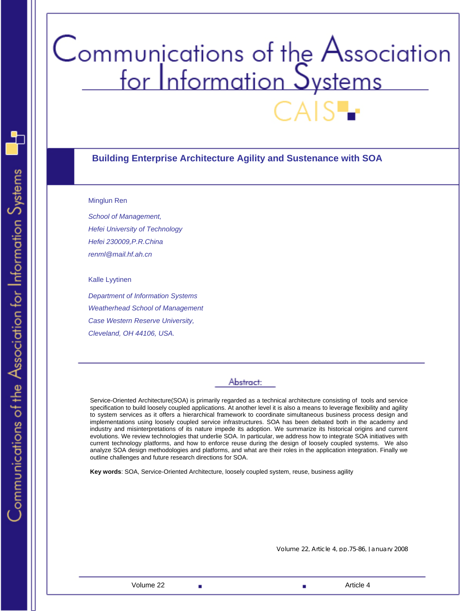# Communications of the Association<br>for Information Systems

#### **Building Enterprise Architecture Agility and Sustenance with SOA**

#### Minglun Ren

*School of Management, Hefei University of Technology Hefei 230009,P.R.China renml@mail.hf.ah.cn* 

Kalle Lyytinen

*Department of Information Systems Weatherhead School of Management Case Western Reserve University, Cleveland, OH 44106, USA.* 

#### Abstract:

Service-Oriented Architecture(SOA) is primarily regarded as a technical architecture consisting of tools and service specification to build loosely coupled applications. At another level it is also a means to leverage flexibility and agility to system services as it offers a hierarchical framework to coordinate simultaneous business process design and implementations using loosely coupled service infrastructures. SOA has been debated both in the academy and industry and misinterpretations of its nature impede its adoption. We summarize its historical origins and current evolutions. We review technologies that underlie SOA. In particular, we address how to integrate SOA initiatives with current technology platforms, and how to enforce reuse during the design of loosely coupled systems. We also analyze SOA design methodologies and platforms, and what are their roles in the application integration. Finally we outline challenges and future research directions for SOA.

**Key words**: SOA, Service-Oriented Architecture, loosely coupled system, reuse, business agility

Volume 22 **Article 4** Article 4

Volume 22, Article 4, pp.75-86, January 2008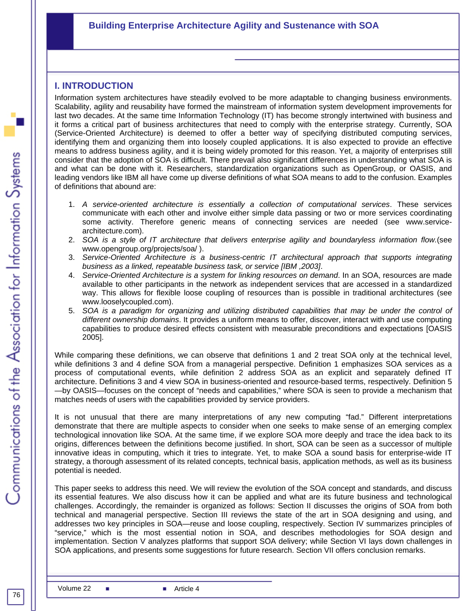#### **I. INTRODUCTION**

Information system architectures have steadily evolved to be more adaptable to changing business environments. Scalability, agility and reusability have formed the mainstream of information system development improvements for last two decades. At the same time Information Technology (IT) has become strongly intertwined with business and it forms a critical part of business architectures that need to comply with the enterprise strategy. Currently, SOA (Service-Oriented Architecture) is deemed to offer a better way of specifying distributed computing services, identifying them and organizing them into loosely coupled applications. It is also expected to provide an effective means to address business agility, and it is being widely promoted for this reason. Yet, a majority of enterprises still consider that the adoption of SOA is difficult. There prevail also significant differences in understanding what SOA is and what can be done with it. Researchers, standardization organizations such as OpenGroup, or OASIS, and leading vendors like IBM all have come up diverse definitions of what SOA means to add to the confusion. Examples of definitions that abound are:

- 1. *A service-oriented architecture is essentially a collection of computational services*. These services communicate with each other and involve either simple data passing or two or more services coordinating some activity. Therefore generic means of connecting services are needed (see www.servicearchitecture.com).
- 2. *SOA is a style of IT architecture that delivers enterprise agility and boundaryless information flow.*(see www.opengroup.org/projects/soa/ ).
- 3. *Service-Oriented Architecture is a business-centric IT architectural approach that supports integrating business as a linked, repeatable business task, or service [IBM ,2003]*.
- 4. *Service-Oriented Architecture is a system for linking resources on demand*. In an SOA, resources are made available to other participants in the network as independent services that are accessed in a standardized way. This allows for flexible loose coupling of resources than is possible in traditional architectures (see www.looselycoupled.com).
- 5. *SOA is a paradigm for organizing and utilizing distributed capabilities that may be under the control of different ownership domains*. It provides a uniform means to offer, discover, interact with and use computing capabilities to produce desired effects consistent with measurable preconditions and expectations [OASIS 2005].

While comparing these definitions, we can observe that definitions 1 and 2 treat SOA only at the technical level, while definitions 3 and 4 define SOA from a managerial perspective. Definition 1 emphasizes SOA services as a process of computational events, while definition 2 address SOA as an explicit and separately defined IT architecture. Definitions 3 and 4 view SOA in business-oriented and resource-based terms, respectively. Definition 5 —by OASIS—focuses on the concept of "needs and capabilities," where SOA is seen to provide a mechanism that matches needs of users with the capabilities provided by service providers.

It is not unusual that there are many interpretations of any new computing "fad." Different interpretations demonstrate that there are multiple aspects to consider when one seeks to make sense of an emerging complex technological innovation like SOA. At the same time, if we explore SOA more deeply and trace the idea back to its origins, differences between the definitions become justified. In short, SOA can be seen as a successor of multiple innovative ideas in computing, which it tries to integrate. Yet, to make SOA a sound basis for enterprise-wide IT strategy, a thorough assessment of its related concepts, technical basis, application methods, as well as its business potential is needed.

This paper seeks to address this need. We will review the evolution of the SOA concept and standards, and discuss its essential features. We also discuss how it can be applied and what are its future business and technological challenges. Accordingly, the remainder is organized as follows: Section II discusses the origins of SOA from both technical and managerial perspective. Section III reviews the state of the art in SOA designing and using, and addresses two key principles in SOA—reuse and loose coupling, respectively. Section IV summarizes principles of "service," which is the most essential notion in SOA, and describes methodologies for SOA design and implementation. Section V analyzes platforms that support SOA delivery; while Section VI lays down challenges in SOA applications, and presents some suggestions for future research. Section VII offers conclusion remarks.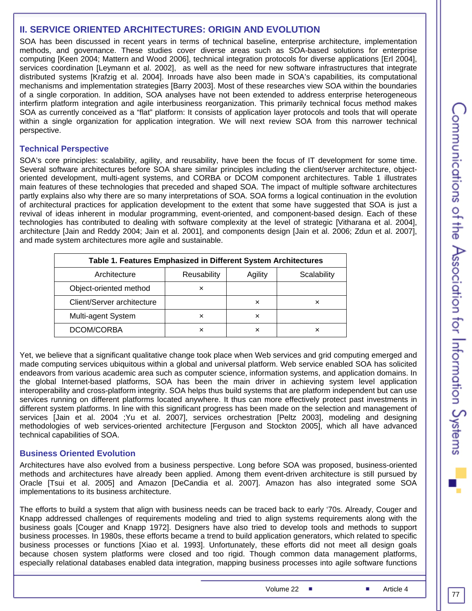#### **II. SERVICE ORIENTED ARCHITECTURES: ORIGIN AND EVOLUTION**

SOA has been discussed in recent years in terms of technical baseline, enterprise architecture, implementation methods, and governance. These studies cover diverse areas such as SOA-based solutions for enterprise computing [Keen 2004; Mattern and Wood 2006], technical integration protocols for diverse applications [Erl 2004], services coordination [Leymann et al. 2002], as well as the need for new software infrastructures that integrate distributed systems [Krafzig et al. 2004]. Inroads have also been made in SOA's capabilities, its computational mechanisms and implementation strategies [Barry 2003]. Most of these researches view SOA within the boundaries of a single corporation. In addition, SOA analyses have not been extended to address enterprise heterogeneous interfirm platform integration and agile interbusiness reorganization. This primarily technical focus method makes SOA as currently conceived as a "flat" platform: It consists of application layer protocols and tools that will operate within a single organization for application integration. We will next review SOA from this narrower technical perspective.

#### **Technical Perspective**

SOA's core principles: scalability, agility, and reusability, have been the focus of IT development for some time. Several software architectures before SOA share similar principles including the client/server architecture, objectoriented development, multi-agent systems, and CORBA or DCOM component architectures. Table 1 illustrates main features of these technologies that preceded and shaped SOA. The impact of multiple software architectures partly explains also why there are so many interpretations of SOA. SOA forms a logical continuation in the evolution of architectural practices for application development to the extent that some have suggested that SOA is just a revival of ideas inherent in modular programming, event-oriented, and component-based design. Each of these technologies has contributed to dealing with software complexity at the level of strategic [Vitharana et al. 2004], architecture [Jain and Reddy 2004; Jain et al. 2001], and components design [Jain et al. 2006; Zdun et al. 2007], and made system architectures more agile and sustainable.

| Table 1. Features Emphasized in Different System Architectures |             |         |             |
|----------------------------------------------------------------|-------------|---------|-------------|
| Architecture                                                   | Reusability | Agility | Scalability |
| Object-oriented method                                         | ×           |         |             |
| Client/Server architecture                                     |             | ×       | ×           |
| Multi-agent System                                             | ×           | ×       |             |
| DCOM/CORBA                                                     | ×           |         | ×           |

Yet, we believe that a significant qualitative change took place when Web services and grid computing emerged and made computing services ubiquitous within a global and universal platform. Web service enabled SOA has solicited endeavors from various academic area such as computer science, information systems, and application domains. In the global Internet-based platforms, SOA has been the main driver in achieving system level application interoperability and cross-platform integrity. SOA helps thus build systems that are platform independent but can use services running on different platforms located anywhere. It thus can more effectively protect past investments in different system platforms. In line with this significant progress has been made on the selection and management of services [Jain et al. 2004 : Yu et al. 2007], services orchestration [Peltz 2003], modeling and designing methodologies of web services-oriented architecture [Ferguson and Stockton 2005], which all have advanced technical capabilities of SOA.

#### **Business Oriented Evolution**

Architectures have also evolved from a business perspective. Long before SOA was proposed, business-oriented methods and architectures have already been applied. Among them event-driven architecture is still pursued by Oracle [Tsui et al. 2005] and Amazon [DeCandia et al. 2007]. Amazon has also integrated some SOA implementations to its business architecture.

The efforts to build a system that align with business needs can be traced back to early '70s. Already, Couger and Knapp addressed challenges of requirements modeling and tried to align systems requirements along with the business goals [Couger and Knapp 1972]. Designers have also tried to develop tools and methods to support business processes. In 1980s, these efforts became a trend to build application generators, which related to specific business processes or functions [Xiao et al. 1993]. Unfortunately, these efforts did not meet all design goals because chosen system platforms were closed and too rigid. Though common data management platforms, especially relational databases enabled data integration, mapping business processes into agile software functions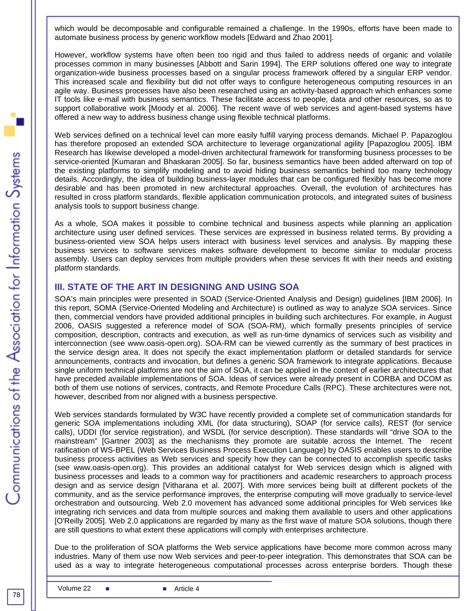which would be decomposable and configurable remained a challenge. In the 1990s, efforts have been made to automate business process by generic workflow models [Edward and Zhao 2001].

However, workflow systems have often been too rigid and thus failed to address needs of organic and volatile processes common in many businesses [Abbott and Sarin 1994]. The ERP solutions offered one way to integrate organization-wide business processes based on a singular process framework offered by a singular ERP vendor. This increased scale and flexibility but did not offer ways to configure heterogeneous computing resources in an agile way. Business processes have also been researched using an activity-based approach which enhances some IT tools like e-mail with business semantics. These facilitate access to people, data and other resources, so as to support collaborative work [Moody et al. 2006]. The recent wave of web services and agent-based systems have offered a new way to address business change using flexible technical platforms.

Web services defined on a technical level can more easily fulfill varying process demands. Michael P. Papazoglou has therefore proposed an extended SOA architecture to leverage organizational agility [Papazoglou 2005]. IBM Research has likewise developed a model-driven architectural framework for transforming business processes to be service-oriented [Kumaran and Bhaskaran 2005]. So far, business semantics have been added afterward on top of the existing platforms to simplify modeling and to avoid hiding business semantics behind too many technology details. Accordingly, the idea of building business-layer modules that can be configured flexibly has become more desirable and has been promoted in new architectural approaches. Overall, the evolution of architectures has resulted in cross platform standards, flexible application communication protocols, and integrated suites of business analysis tools to support business change.

As a whole, SOA makes it possible to combine technical and business aspects while planning an application architecture using user defined services. These services are expressed in business related terms. By providing a business-oriented view SOA helps users interact with business level services and analysis. By mapping these business services to software services makes software development to become similar to modular process assembly. Users can deploy services from multiple providers when these services fit with their needs and existing platform standards.

#### **III. STATE OF THE ART IN DESIGNING AND USING SOA**

SOA's main principles were presented in SOAD (Service-Oriented Analysis and Design) guidelines [IBM 2006]. In this report, SOMA (Service-Oriented Modeling and Architecture) is outlined as way to analyze SOA services. Since then, commercial vendors have provided additional principles in building such architectures. For example, in August 2006, OASIS suggested a reference model of SOA (SOA-RM), which formally presents principles of service composition, description, contracts and execution, as well as run-time dynamics of services such as visibility and interconnection (see www.oasis-open.org). SOA-RM can be viewed currently as the summary of best practices in the service design area. It does not specify the exact implementation platform or detailed standards for service announcements, contracts and invocation, but defines a generic SOA framework to integrate applications. Because single uniform technical platforms are not the aim of SOA, it can be applied in the context of earlier architectures that have preceded available implementations of SOA. Ideas of services were already present in CORBA and DCOM as both of them use notions of services, contracts, and Remote Procedure Calls (RPC). These architectures were not, however, described from nor aligned with a business perspective.

Web services standards formulated by W3C have recently provided a complete set of communication standards for generic SOA implementations including XML (for data structuring), SOAP (for service calls), REST (for service calls), UDDI (for service registration), and WSDL (for service description). These standards will "drive SOA to the mainstream" [Gartner 2003] as the mechanisms they promote are suitable across the Internet. The recent ratification of WS-BPEL (Web Services Business Process Execution Language) by OASIS enables users to describe business process activities as Web services and specify how they can be connected to accomplish specific tasks (see www.oasis-open.org). This provides an additional catalyst for Web services design which is aligned with business processes and leads to a common way for practitioners and academic researchers to approach process design and as service design [Vitharana et al. 2007]. With more services being built at different pockets of the community, and as the service performance improves, the enterprise computing will move gradually to service-level orchestration and outsourcing. Web 2.0 movement has advanced some additional principles for Web services like integrating rich services and data from multiple sources and making them available to users and other applications [O'Reilly 2005]. Web 2.0 applications are regarded by many as the first wave of mature SOA solutions, though there are still questions to what extent these applications will comply with enterprises architecture.

Due to the proliferation of SOA platforms the Web service applications have become more common across many industries. Many of them use now Web services and peer-to-peer integration. This demonstrates that SOA can be used as a way to integrate heterogeneous computational processes across enterprise borders. Though these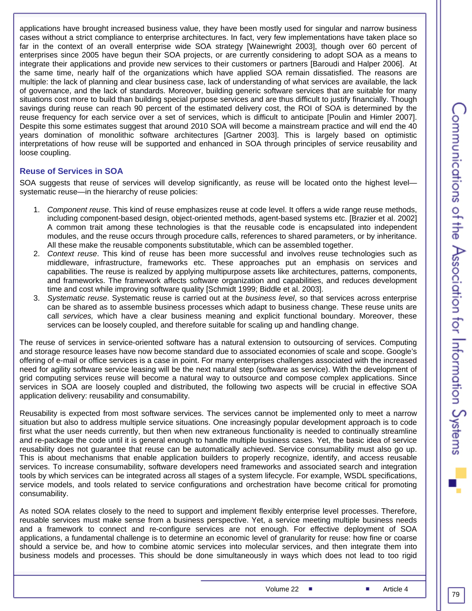applications have brought increased business value, they have been mostly used for singular and narrow business cases without a strict compliance to enterprise architectures. In fact, very few implementations have taken place so far in the context of an overall enterprise wide SOA strategy [Wainewright 2003], though over 60 percent of enterprises since 2005 have begun their SOA projects, or are currently considering to adopt SOA as a means to integrate their applications and provide new services to their customers or partners [Baroudi and Halper 2006]. At the same time, nearly half of the organizations which have applied SOA remain dissatisfied. The reasons are multiple: the lack of planning and clear business case, lack of understanding of what services are available, the lack of governance, and the lack of standards. Moreover, building generic software services that are suitable for many situations cost more to build than building special purpose services and are thus difficult to justify financially. Though savings during reuse can reach 90 percent of the estimated delivery cost, the ROI of SOA is determined by the reuse frequency for each service over a set of services, which is difficult to anticipate [Poulin and Himler 2007]. Despite this some estimates suggest that around 2010 SOA will become a mainstream practice and will end the 40 years domination of monolithic software architectures [Gartner 2003]. This is largely based on optimistic interpretations of how reuse will be supported and enhanced in SOA through principles of service reusability and loose coupling.

#### **Reuse of Services in SOA**

SOA suggests that reuse of services will develop significantly, as reuse will be located onto the highest level systematic reuse—in the hierarchy of reuse policies:

- 1. *Component reuse*. This kind of reuse emphasizes reuse at code level. It offers a wide range reuse methods, including component-based design, object-oriented methods, agent-based systems etc. [Brazier et al. 2002] A common trait among these technologies is that the reusable code is encapsulated into independent modules, and the reuse occurs through procedure calls, references to shared parameters, or by inheritance. All these make the reusable components substitutable, which can be assembled together.
- 2. *Context reuse*. This kind of reuse has been more successful and involves reuse technologies such as middleware, infrastructure, frameworks etc. These approaches put an emphasis on services and capabilities. The reuse is realized by applying multipurpose assets like architectures, patterns, components, and frameworks. The framework affects software organization and capabilities, and reduces development time and cost while improving software quality [Schmidt 1999; Biddle et al. 2003].
- 3. *Systematic reuse*. Systematic reuse is carried out at the *business level*, so that services across enterprise can be shared as to assemble business processes which adapt to business change. These reuse units are call *services,* which have a clear business meaning and explicit functional boundary. Moreover, these services can be loosely coupled, and therefore suitable for scaling up and handling change.

The reuse of services in service-oriented software has a natural extension to outsourcing of services. Computing and storage resource leases have now become standard due to associated economies of scale and scope. Google's offering of e-mail or office services is a case in point. For many enterprises challenges associated with the increased need for agility software service leasing will be the next natural step (software as service). With the development of grid computing services reuse will become a natural way to outsource and compose complex applications. Since services in SOA are loosely coupled and distributed, the following two aspects will be crucial in effective SOA application delivery: reusability and consumability.

Reusability is expected from most software services. The services cannot be implemented only to meet a narrow situation but also to address multiple service situations. One increasingly popular development approach is to code first what the user needs currently, but then when new extraneous functionality is needed to continually streamline and re-package the code until it is general enough to handle multiple business cases. Yet, the basic idea of service reusability does not guarantee that reuse can be automatically achieved. Service consumability must also go up. This is about mechanisms that enable application builders to properly recognize, identify, and access reusable services. To increase consumability, software developers need frameworks and associated search and integration tools by which services can be integrated across all stages of a system lifecycle. For example, WSDL specifications, service models, and tools related to service configurations and orchestration have become critical for promoting consumability.

As noted SOA relates closely to the need to support and implement flexibly enterprise level processes. Therefore, reusable services must make sense from a business perspective. Yet, a service meeting multiple business needs and a framework to connect and re-configure services are not enough. For effective deployment of SOA applications, a fundamental challenge is to determine an economic level of granularity for reuse: how fine or coarse should a service be, and how to combine atomic services into molecular services, and then integrate them into business models and processes. This should be done simultaneously in ways which does not lead to too rigid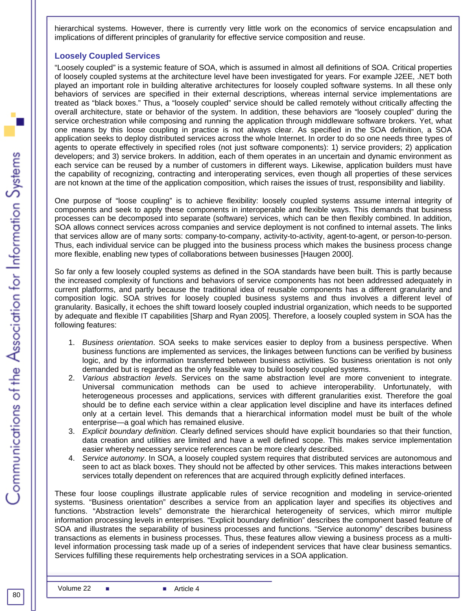hierarchical systems. However, there is currently very little work on the economics of service encapsulation and implications of different principles of granularity for effective service composition and reuse.

#### **Loosely Coupled Services**

"Loosely coupled" is a systemic feature of SOA, which is assumed in almost all definitions of SOA. Critical properties of loosely coupled systems at the architecture level have been investigated for years. For example J2EE, .NET both played an important role in building alterative architectures for loosely coupled software systems. In all these only behaviors of services are specified in their external descriptions, whereas internal service implementations are treated as "black boxes." Thus, a "loosely coupled" service should be called remotely without critically affecting the overall architecture, state or behavior of the system. In addition, these behaviors are "loosely coupled" during the service orchestration while composing and running the application through middleware software brokers. Yet, what one means by this loose coupling in practice is not always clear. As specified in the SOA definition, a SOA application seeks to deploy distributed services across the whole Internet. In order to do so one needs three types of agents to operate effectively in specified roles (not just software components): 1) service providers; 2) application developers; and 3) service brokers. In addition, each of them operates in an uncertain and dynamic environment as each service can be reused by a number of customers in different ways. Likewise, application builders must have the capability of recognizing, contracting and interoperating services, even though all properties of these services are not known at the time of the application composition, which raises the issues of trust, responsibility and liability.

One purpose of "loose coupling" is to achieve flexibility: loosely coupled systems assume internal integrity of components and seek to apply these components in interoperable and flexible ways. This demands that business processes can be decomposed into separate (software) services, which can be then flexibly combined. In addition, SOA allows connect services across companies and service deployment is not confined to internal assets. The links that services allow are of many sorts: company-to-company, activity-to-activity, agent-to-agent, or person-to-person. Thus, each individual service can be plugged into the business process which makes the business process change more flexible, enabling new types of collaborations between businesses [Haugen 2000].

So far only a few loosely coupled systems as defined in the SOA standards have been built. This is partly because the increased complexity of functions and behaviors of service components has not been addressed adequately in current platforms, and partly because the traditional idea of reusable components has a different granularity and composition logic. SOA strives for loosely coupled business systems and thus involves a different level of granularity. Basically, it echoes the shift toward loosely coupled industrial organization, which needs to be supported by adequate and flexible IT capabilities [Sharp and Ryan 2005]. Therefore, a loosely coupled system in SOA has the following features:

- 1. *Business orientation*. SOA seeks to make services easier to deploy from a business perspective. When business functions are implemented as services, the linkages between functions can be verified by business logic, and by the information transferred between business activities. So business orientation is not only demanded but is regarded as the only feasible way to build loosely coupled systems.
- 2. *Various abstraction levels*. Services on the same abstraction level are more convenient to integrate. Universal communication methods can be used to achieve interoperability. Unfortunately, with heterogeneous processes and applications, services with different granularities exist. Therefore the goal should be to define each service within a clear application level discipline and have its interfaces defined only at a certain level. This demands that a hierarchical information model must be built of the whole enterprise—a goal which has remained elusive.
- 3. *Explicit boundary definition*. Clearly defined services should have explicit boundaries so that their function, data creation and utilities are limited and have a well defined scope. This makes service implementation easier whereby necessary service references can be more clearly described.
- 4. *Service autonomy*. In SOA, a loosely coupled system requires that distributed services are autonomous and seen to act as black boxes. They should not be affected by other services. This makes interactions between services totally dependent on references that are acquired through explicitly defined interfaces.

These four loose couplings illustrate applicable rules of service recognition and modeling in service-oriented systems. "Business orientation" describes a service from an application layer and specifies its objectives and functions. "Abstraction levels" demonstrate the hierarchical heterogeneity of services, which mirror multiple information processing levels in enterprises. "Explicit boundary definition" describes the component based feature of SOA and illustrates the separability of business processes and functions. "Service autonomy" describes business transactions as elements in business processes. Thus, these features allow viewing a business process as a multilevel information processing task made up of a series of independent services that have clear business semantics. Services fulfilling these requirements help orchestrating services in a SOA application.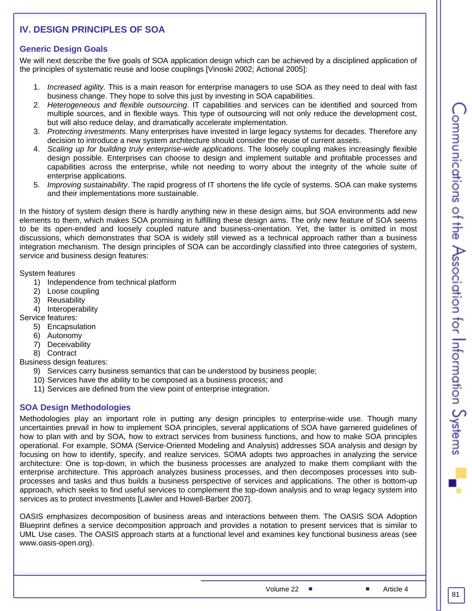#### **IV. DESIGN PRINCIPLES OF SOA**

#### **Generic Design Goals**

We will next describe the five goals of SOA application design which can be achieved by a disciplined application of the principles of systematic reuse and loose couplings [Vinoski 2002; Actional 2005]:

- 1. *Increased agility.* This is a main reason for enterprise managers to use SOA as they need to deal with fast business change. They hope to solve this just by investing in SOA capabilities.
- 2. *Heterogeneous and flexible outsourcing*. IT capabilities and services can be identified and sourced from multiple sources, and in flexible ways. This type of outsourcing will not only reduce the development cost, but will also reduce delay, and dramatically accelerate implementation.
- 3. *Protecting investments*. Many enterprises have invested in large legacy systems for decades. Therefore any decision to introduce a new system architecture should consider the reuse of current assets.
- 4. *Scaling up for building truly enterprise-wide applications*. The loosely coupling makes increasingly flexible design possible. Enterprises can choose to design and implement suitable and profitable processes and capabilities across the enterprise, while not needing to worry about the integrity of the whole suite of enterprise applications.
- 5. *Improving sustainability*. The rapid progress of IT shortens the life cycle of systems. SOA can make systems and their implementations more sustainable.

In the history of system design there is hardly anything new in these design aims, but SOA environments add new elements to them, which makes SOA promising in fulfilling these design aims. The only new feature of SOA seems to be its open-ended and loosely coupled nature and business-orientation. Yet, the latter is omitted in most discussions, which demonstrates that SOA is widely still viewed as a technical approach rather than a business integration mechanism. The design principles of SOA can be accordingly classified into three categories of system, service and business design features:

System features

- 1) Independence from technical platform
- 2) Loose coupling
- 3) Reusability
- 4) Interoperability

Service features:

- 5) Encapsulation
- 6) Autonomy
- 7) Deceivability
- 8) Contract

Business design features:

- 9) Services carry business semantics that can be understood by business people;
- 10) Services have the ability to be composed as a business process; and
- 11) Services are defined from the view point of enterprise integration.

#### **SOA Design Methodologies**

Methodologies play an important role in putting any design principles to enterprise-wide use. Though many uncertainties prevail in how to implement SOA principles, several applications of SOA have garnered guidelines of how to plan with and by SOA, how to extract services from business functions, and how to make SOA principles operational. For example, SOMA (Service-Oriented Modeling and Analysis) addresses SOA analysis and design by focusing on how to identify, specify, and realize services. SOMA adopts two approaches in analyzing the service architecture: One is top-down, in which the business processes are analyzed to make them compliant with the enterprise architecture. This approach analyzes business processes, and then decomposes processes into subprocesses and tasks and thus builds a business perspective of services and applications. The other is bottom-up approach, which seeks to find useful services to complement the top-down analysis and to wrap legacy system into services as to protect investments [Lawler and Howell-Barber 2007].

OASIS emphasizes decomposition of business areas and interactions between them. The OASIS SOA Adoption Blueprint defines a service decomposition approach and provides a notation to present services that is similar to UML Use cases. The OASIS approach starts at a functional level and examines key functional business areas (see www.oasis-open.org).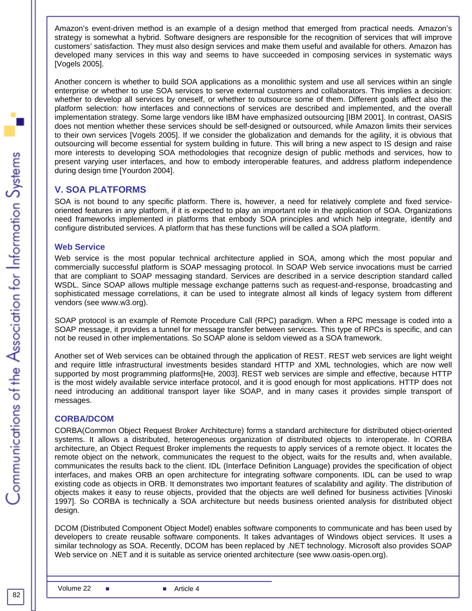Amazon's event-driven method is an example of a design method that emerged from practical needs. Amazon's strategy is somewhat a hybrid. Software designers are responsible for the recognition of services that will improve customers' satisfaction. They must also design services and make them useful and available for others. Amazon has developed many services in this way and seems to have succeeded in composing services in systematic ways [Vogels 2005].

Another concern is whether to build SOA applications as a monolithic system and use all services within an single enterprise or whether to use SOA services to serve external customers and collaborators. This implies a decision: whether to develop all services by oneself, or whether to outsource some of them. Different goals affect also the platform selection: how interfaces and connections of services are described and implemented, and the overall implementation strategy. Some large vendors like IBM have emphasized outsourcing [IBM 2001]. In contrast, OASIS does not mention whether these services should be self-designed or outsourced, while Amazon limits their services to their own services [Vogels 2005]. If we consider the globalization and demands for the agility, it is obvious that outsourcing will become essential for system building in future. This will bring a new aspect to IS design and raise more interests to developing SOA methodologies that recognize design of public methods and services, how to present varying user interfaces, and how to embody interoperable features, and address platform independence during design time [Yourdon 2004].

#### **V. SOA PLATFORMS**

SOA is not bound to any specific platform. There is, however, a need for relatively complete and fixed serviceoriented features in any platform, if it is expected to play an important role in the application of SOA. Organizations need frameworks implemented in platforms that embody SOA principles and which help integrate, identify and configure distributed services. A platform that has these functions will be called a SOA platform.

#### **Web Service**

Web service is the most popular technical architecture applied in SOA, among which the most popular and commercially successful platform is SOAP messaging protocol. In SOAP Web service invocations must be carried that are compliant to SOAP messaging standard. Services are described in a service description standard called WSDL. Since SOAP allows multiple message exchange patterns such as request-and-response, broadcasting and sophisticated message correlations, it can be used to integrate almost all kinds of legacy system from different vendors (see www.w3.org).

SOAP protocol is an example of Remote Procedure Call (RPC) paradigm. When a RPC message is coded into a SOAP message, it provides a tunnel for message transfer between services. This type of RPCs is specific, and can not be reused in other implementations. So SOAP alone is seldom viewed as a SOA framework.

Another set of Web services can be obtained through the application of REST. REST web services are light weight and require little infrastructural investments besides standard HTTP and XML technologies, which are now well supported by most programming platforms[He, 2003]. REST web services are simple and effective, because HTTP is the most widely available service interface protocol, and it is good enough for most applications. HTTP does not need introducing an additional transport layer like SOAP, and in many cases it provides simple transport of messages.

#### **CORBA/DCOM**

CORBA(Common Object Request Broker Architecture) forms a standard architecture for distributed object-oriented systems. It allows a distributed, heterogeneous organization of distributed objects to interoperate. In CORBA architecture, an Object Request Broker implements the requests to apply services of a remote object. It locates the remote object on the network, communicates the request to the object, waits for the results and, when available, communicates the results back to the client. IDL (Interface Definition Language) provides the specification of object interfaces, and makes ORB an open architecture for integrating software components. IDL can be used to wrap existing code as objects in ORB. It demonstrates two important features of scalability and agility. The distribution of objects makes it easy to reuse objects, provided that the objects are well defined for business activities [Vinoski 1997]. So CORBA is technically a SOA architecture but needs business oriented analysis for distributed object design.

DCOM (Distributed Component Object Model) enables software components to communicate and has been used by developers to create reusable software components. It takes advantages of Windows object services. It uses a similar technology as SOA. Recently, DCOM has been replaced by .NET technology. Microsoft also provides SOAP Web service on .NET and it is suitable as service oriented architecture (see www.oasis-open.org).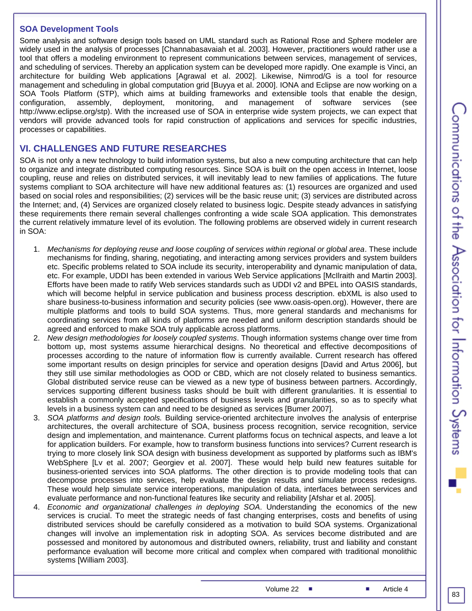#### **SOA Development Tools**

Some analysis and software design tools based on UML standard such as Rational Rose and Sphere modeler are widely used in the analysis of processes [Channabasavaiah et al. 2003]. However, practitioners would rather use a tool that offers a modeling environment to represent communications between services, management of services, and scheduling of services. Thereby an application system can be developed more rapidly. One example is Vinci, an architecture for building Web applications [Agrawal et al. 2002]. Likewise, Nimrod/G is a tool for resource management and scheduling in global computation grid [Buyya et al. 2000]. IONA and Eclipse are now working on a SOA Tools Platform (STP), which aims at building frameworks and extensible tools that enable the design, configuration, assembly, deployment, monitoring, and management of software services (see configuration, assembly, deployment, monitoring, and management of software services (see http://www.eclipse.org/stp). With the increased use of SOA in enterprise wide system projects, we can expect that vendors will provide advanced tools for rapid construction of applications and services for specific industries, processes or capabilities.

#### **VI. CHALLENGES AND FUTURE RESEARCHES**

SOA is not only a new technology to build information systems, but also a new computing architecture that can help to organize and integrate distributed computing resources. Since SOA is built on the open access in Internet, loose coupling, reuse and relies on distributed services, it will inevitably lead to new families of applications. The future systems compliant to SOA architecture will have new additional features as: (1) resources are organized and used based on social roles and responsibilities; (2) services will be the basic reuse unit; (3) services are distributed across the Internet; and, (4) Services are organized closely related to business logic. Despite steady advances in satisfying these requirements there remain several challenges confronting a wide scale SOA application. This demonstrates the current relatively immature level of its evolution. The following problems are observed widely in current research in SOA:

- 1. *Mechanisms for deploying reuse and loose coupling of services within regional or global area*. These include mechanisms for finding, sharing, negotiating, and interacting among services providers and system builders etc. Specific problems related to SOA include its security, interoperability and dynamic manipulation of data, etc. For example, UDDI has been extended in various Web Service applications [McIlraith and Martin 2003]. Efforts have been made to ratify Web services standards such as UDDI v2 and BPEL into OASIS standards, which will become helpful in service publication and business process description. ebXML is also used to share business-to-business information and security policies (see www.oasis-open.org). However, there are multiple platforms and tools to build SOA systems. Thus, more general standards and mechanisms for coordinating services from all kinds of platforms are needed and uniform description standards should be agreed and enforced to make SOA truly applicable across platforms.
- 2. *New design methodologies for loosely coupled systems*. Though information systems change over time from bottom up, most systems assume hierarchical designs. No theoretical and effective decompositions of processes according to the nature of information flow is currently available. Current research has offered some important results on design principles for service and operation designs [David and Artus 2006], but they still use similar methodologies as OOD or CBD, which are not closely related to business semantics. Global distributed service reuse can be viewed as a new type of business between partners. Accordingly, services supporting different business tasks should be built with different granularities. It is essential to establish a commonly accepted specifications of business levels and granularities, so as to specify what levels in a business system can and need to be designed as services [Bumer 2007].
- 3. *SOA platforms and design tools.* Building service-oriented architecture involves the analysis of enterprise architectures, the overall architecture of SOA, business process recognition, service recognition, service design and implementation, and maintenance. Current platforms focus on technical aspects, and leave a lot for application builders. For example, how to transform business functions into services? Current research is trying to more closely link SOA design with business development as supported by platforms such as IBM's WebSphere [Lv et al. 2007; Georgiev et al. 2007]. These would help build new features suitable for business-oriented services into SOA platforms. The other direction is to provide modeling tools that can decompose processes into services, help evaluate the design results and simulate process redesigns. These would help simulate service interoperations, manipulation of data, interfaces between services and evaluate performance and non-functional features like security and reliability [Afshar et al. 2005].
- 4. *Economic and organizational challenges in deploying SOA*. Understanding the economics of the new services is crucial. To meet the strategic needs of fast changing enterprises, costs and benefits of using distributed services should be carefully considered as a motivation to build SOA systems. Organizational changes will involve an implementation risk in adopting SOA. As services become distributed and are possessed and monitored by autonomous and distributed owners, reliability, trust and liability and constant performance evaluation will become more critical and complex when compared with traditional monolithic systems [William 2003].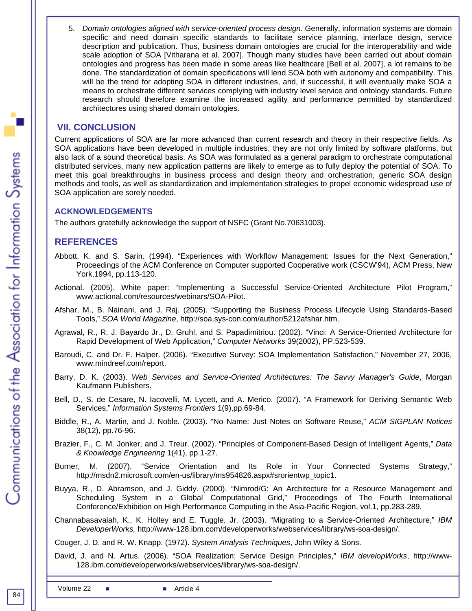5. *Domain ontologies aligned with service-oriented process design.* Generally, information systems are domain specific and need domain specific standards to facilitate service planning, interface design, service description and publication. Thus, business domain ontologies are crucial for the interoperability and wide scale adoption of SOA [Vitharana et al. 2007]. Though many studies have been carried out about domain ontologies and progress has been made in some areas like healthcare [Bell et al. 2007], a lot remains to be done. The standardization of domain specifications will lend SOA both with autonomy and compatibility. This will be the trend for adopting SOA in different industries, and, if successful, it will eventually make SOA a means to orchestrate different services complying with industry level service and ontology standards. Future research should therefore examine the increased agility and performance permitted by standardized architectures using shared domain ontologies.

#### **VII. CONCLUSION**

Current applications of SOA are far more advanced than current research and theory in their respective fields. As SOA applications have been developed in multiple industries, they are not only limited by software platforms, but also lack of a sound theoretical basis. As SOA was formulated as a general paradigm to orchestrate computational distributed services, many new application patterns are likely to emerge as to fully deploy the potential of SOA. To meet this goal breakthroughs in business process and design theory and orchestration, generic SOA design methods and tools, as well as standardization and implementation strategies to propel economic widespread use of SOA application are sorely needed.

#### **ACKNOWLEDGEMENTS**

The authors gratefully acknowledge the support of NSFC (Grant No.70631003).

#### **REFERENCES**

- Abbott, K. and S. Sarin. (1994). "Experiences with Workflow Management: Issues for the Next Generation," Proceedings of the ACM Conference on Computer supported Cooperative work (CSCW'94), ACM Press, New York,1994, pp.113-120.
- Actional. (2005). White paper: "Implementing a Successful Service-Oriented Architecture Pilot Program," www.actional.com/resources/webinars/SOA-Pilot.
- Afshar, M., B. Nainani, and J. Raj. (2005). "Supporting the Business Process Lifecycle Using Standards-Based Tools," *SOA World Magazine*, http://soa.sys-con.com/author/5212afshar.htm.
- Agrawal, R., R. J. Bayardo Jr., D. Gruhl, and S. Papadimitriou. (2002). "Vinci: A Service-Oriented Architecture for Rapid Development of Web Application," *Computer Networks* 39(2002), PP.523-539.
- Baroudi, C. and Dr. F. Halper. (2006). "Executive Survey: SOA Implementation Satisfaction," November 27, 2006, www.mindreef.com/report.
- Barry, D. K. (2003). *Web Services and Service-Oriented Architectures: The Savvy Manager's Guide*, Morgan Kaufmann Publishers.
- Bell, D., S. de Cesare, N. Iacovelli, M. Lycett, and A. Merico. (2007). "A Framework for Deriving Semantic Web Services," *Information Systems Frontiers* 1(9),pp.69-84.
- Biddle, R., A. Martin, and J. Noble. (2003). "No Name: Just Notes on Software Reuse," *ACM SIGPLAN Notices* 38(12), pp.76-96.

Brazier, F., C. M. Jonker, and J. Treur. (2002). "Principles of Component-Based Design of Intelligent Agents," *Data & Knowledge Engineering* 1(41), pp.1-27.

- Burner, M. (2007). "Service Orientation and Its Role in Your Connected Systems Strategy," http://msdn2.microsoft.com/en-us/library/ms954826.aspx#srorientwp\_topic1.
- Buyya, R., D. Abramson, and J. Giddy. (2000). "Nimrod/G: An Architecture for a Resource Management and Scheduling System in a Global Computational Grid," Proceedings of The Fourth International Conference/Exhibition on High Performance Computing in the Asia-Pacific Region, vol.1, pp.283-289.
- Channabasavaiah, K., K. Holley and E. Tuggle, Jr. (2003). "Migrating to a Service-Oriented Architecture," *IBM DeveloperWorks,* http://www-128.ibm.com/developerworks/webservices/library/ws-soa-design/.

Couger, J. D. and R. W. Knapp. (1972). *System Analysis Techniques*, John Wiley & Sons.

David, J. and N. Artus. (2006). "SOA Realization: Service Design Principles," *IBM developWorks*, http://www-128.ibm.com/developerworks/webservices/library/ws-soa-design/.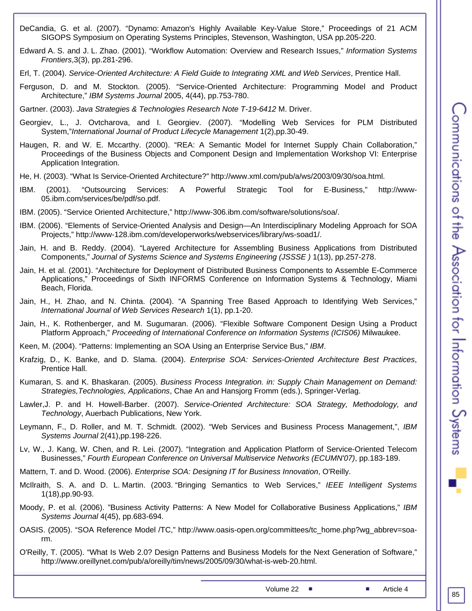- DeCandia, G. et al. (2007). "Dynamo: Amazon's Highly Available Key-Value Store," Proceedings of 21 ACM SIGOPS Symposium on Operating Systems Principles, Stevenson, Washington, USA pp.205-220.
- Edward A. S. and J. L. Zhao. (2001). "Workflow Automation: Overview and Research Issues," *Information Systems Frontiers*,3(3), pp.281-296.
- Erl, T. (2004). *Service-Oriented Architecture: A Field Guide to Integrating XML and Web Services*, Prentice Hall.
- Ferguson, D. and M. Stockton. (2005). "Service-Oriented Architecture: Programming Model and Product Architecture," *IBM Systems Journal* 2005, 4(44), pp.753-780.
- Gartner. (2003). *Java Strategies & Technologies Research Note T-19-6412* M. Driver.
- Georgiev, L., J. Ovtcharova, and I. Georgiev. (2007). "Modelling Web Services for PLM Distributed System,"*International Journal of Product Lifecycle Management* 1(2),pp.30-49.
- Haugen, R. and W. E. Mccarthy. (2000). "REA: A Semantic Model for Internet Supply Chain Collaboration," Proceedings of the Business Objects and Component Design and Implementation Workshop VI: Enterprise Application Integration.
- He, H. (2003). "What Is Service-Oriented Architecture?" http://www.xml.com/pub/a/ws/2003/09/30/soa.html.
- IBM. (2001). "Outsourcing Services: A Powerful Strategic Tool for E-Business," http://www-05.ibm.com/services/be/pdf/so.pdf.
- IBM. (2005). "Service Oriented Architecture," http://www-306.ibm.com/software/solutions/soa/.
- IBM. (2006). "Elements of Service-Oriented Analysis and Design—An Interdisciplinary Modeling Approach for SOA Projects," http://www-128.ibm.com/developerworks/webservices/library/ws-soad1/.
- Jain, H. and B. Reddy. (2004). "Layered Architecture for Assembling Business Applications from Distributed Components," *Journal of Systems Science and Systems Engineering (JSSSE )* 1(13), pp.257-278.
- Jain, H. et al. (2001). "Architecture for Deployment of Distributed Business Components to Assemble E-Commerce Applications," Proceedings of Sixth INFORMS Conference on Information Systems & Technology, Miami Beach, Florida.
- Jain, H., H. Zhao, and N. Chinta. (2004). "A Spanning Tree Based Approach to Identifying Web Services," *International Journal of Web Services Research* 1(1), pp.1-20.
- Jain, H., K. Rothenberger, and M. Sugumaran. (2006). "Flexible Software Component Design Using a Product Platform Approach," *Proceeding of International Conference on Information Systems (ICIS06)* Milwaukee.
- Keen, M. (2004). "Patterns: Implementing an SOA Using an Enterprise Service Bus," *IBM*.
- Krafzig, D., K. Banke, and D. Slama. (2004). *Enterprise SOA: Services-Oriented Architecture Best Practices*, Prentice Hall.
- Kumaran, S. and K. Bhaskaran. (2005). *Business Process Integration. in: Supply Chain Management on Demand: Strategies,Technologies, Applications*, Chae An and Hansjorg Fromm (eds.), Springer-Verlag.
- Lawler,J. P. and H. Howell-Barber. (2007). *Service-Oriented Architecture: SOA Strategy, Methodology, and Technology*, Auerbach Publications, New York.
- Leymann, F., D. Roller, and M. T. Schmidt. (2002). "Web Services and Business Process Management,", *IBM Systems Journal* 2(41),pp.198-226.
- Lv, W., J. Kang, W. Chen, and R. Lei. (2007). "Integration and Application Platform of Service-Oriented Telecom Businesses," *Fourth European Conference on Universal Multiservice Networks (ECUMN'07)*, pp.183-189.
- Mattern, T. and D. Wood. (2006). *Enterprise SOA: Designing IT for Business Innovation*, O'Reilly.
- McIlraith, S. A. and D. L. Martin. (2003. "Bringing Semantics to Web Services," *IEEE Intelligent Systems* 1(18),pp.90-93.
- Moody, P. et al. (2006). "Business Activity Patterns: A New Model for Collaborative Business Applications," *IBM Systems Journal* 4(45), pp.683-694.
- OASIS. (2005). "SOA Reference Model /TC," http://www.oasis-open.org/committees/tc\_home.php?wg\_abbrev=soarm.
- O'Reilly, T. (2005). "What Is Web 2.0? Design Patterns and Business Models for the Next Generation of Software," http://www.oreillynet.com/pub/a/oreilly/tim/news/2005/09/30/what-is-web-20.html.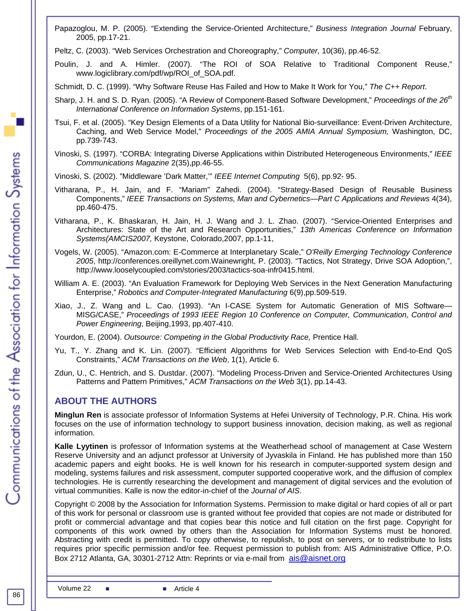Papazoglou, M. P. (2005). "Extending the Service-Oriented Architecture," *Business Integration Journal* February, 2005, pp.17-21.

Peltz, C. (2003). "Web Services Orchestration and Choreography," *Computer,* 10(36), pp.46-52.

Poulin, J. and A. Himler. (2007). "The ROI of SOA Relative to Traditional Component Reuse," www.logiclibrary.com/pdf/wp/ROI\_of\_SOA.pdf.

Schmidt, D. C. (1999). "Why Software Reuse Has Failed and How to Make It Work for You," *The C++ Report*.

- Sharp, J. H. and S. D. Ryan. (2005). "A Review of Component-Based Software Development," *Proceedings of the 26<sup>th</sup> International Conference on Information Systems*, pp.151-161.
- Tsui, F. et al. (2005). "Key Design Elements of a Data Utility for National Bio-surveillance: Event-Driven Architecture, Caching, and Web Service Model," *Proceedings of the 2005 AMIA Annual Symposium,* Washington, DC, pp.739-743.
- Vinoski, S. (1997). "CORBA: Integrating Diverse Applications within Distributed Heterogeneous Environments," *IEEE Communications Magazine* 2(35),pp.46-55.

Vinoski, S. (2002). "Middleware 'Dark Matter,'" *IEEE Internet Computing* 5(6), pp.92- 95.

- Vitharana, P., H. Jain, and F. "Mariam" Zahedi. (2004). "Strategy-Based Design of Reusable Business Components," *IEEE Transactions on Systems, Man and Cybernetics*—*Part C Applications and Reviews* 4(34), pp.460-475.
- Vitharana, P., K. Bhaskaran, H. Jain, H. J. Wang and J. L. Zhao. (2007). "Service-Oriented Enterprises and Architectures: State of the Art and Research Opportunities," *13th Americas Conference on Information Systems(AMCIS2007,* Keystone, Colorado,2007, pp.1-11,
- Vogels, W. (2005). "Amazon.com: E-Commerce at Interplanetary Scale," *[O'Reilly Emerging Technology Conference](http://conferences.oreillynet.com/cs/et2005/view/e_spkr/2023)  [2005](http://conferences.oreillynet.com/cs/et2005/view/e_spkr/2023)*, http://conferences.oreillynet.com.Wainewright, P. (2003). "Tactics, Not Strategy, Drive SOA Adoption,", http://www.looselycoupled.com/stories/2003/tactics-soa-infr0415.html.
- William A. E. (2003). "An Evaluation Framework for Deploying Web Services in the Next Generation Manufacturing Enterprise," *Robotics and Computer-Integrated Manufacturing* 6(9),pp.509-519.
- Xiao, J., Z. Wang and L. Cao. (1993). "An I-CASE System for Automatic Generation of MIS Software— MISG/CASE," *Proceedings of 1993 IEEE Region 10 Conference on Computer, Communication, Control and Power Engineering*, Beijing,1993, pp.407-410.

Yourdon, E. (2004). *Outsource: Competing in the Global Productivity Race,* Prentice Hall.

- Yu, T., Y. Zhang and K. Lin. (2007). "Efficient Algorithms for Web Services Selection with End-to-End QoS Constraints," *ACM Transactions on the Web*, 1(1), Article 6.
- Zdun, U., C. Hentrich, and S. Dustdar. (2007). "Modeling Process-Driven and Service-Oriented Architectures Using Patterns and Pattern Primitives," *ACM Transactions on the Web* 3(1), pp.14-43.

#### **ABOUT THE AUTHORS**

**Minglun Ren** is associate professor of Information Systems at Hefei University of Technology, P.R. China. His work focuses on the use of information technology to support business innovation, decision making, as well as regional information.

**Kalle Lyytinen** is professor of Information systems at the Weatherhead school of management at Case Western Reserve University and an adjunct professor at University of Jyvaskila in Finland. He has published more than 150 academic papers and eight books. He is well known for his research in computer-supported system design and modeling, systems failures and risk assessment, computer supported cooperative work, and the diffusion of complex technologies. He is currently researching the development and management of digital services and the evolution of virtual communities. Kalle is now the editor-in-chief of the *Journal of AIS*.

Copyright © 2008 by the Association for Information Systems. Permission to make digital or hard copies of all or part of this work for personal or classroom use is granted without fee provided that copies are not made or distributed for profit or commercial advantage and that copies bear this notice and full citation on the first page. Copyright for components of this work owned by others than the Association for Information Systems must be honored. Abstracting with credit is permitted. To copy otherwise, to republish, to post on servers, or to redistribute to lists requires prior specific permission and/or fee. Request permission to publish from: AIS Administrative Office, P.O. Box 2712 Atlanta, GA, 30301-2712 Attn: Reprints or via e-mail from [ais@aisnet.org](mailto:ais@gsu.edu)